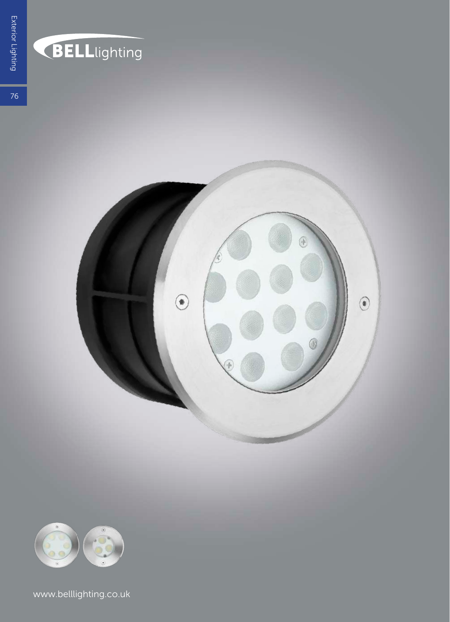

#### **BELL**lighting

 $76$ 





www.belllighting.co.uk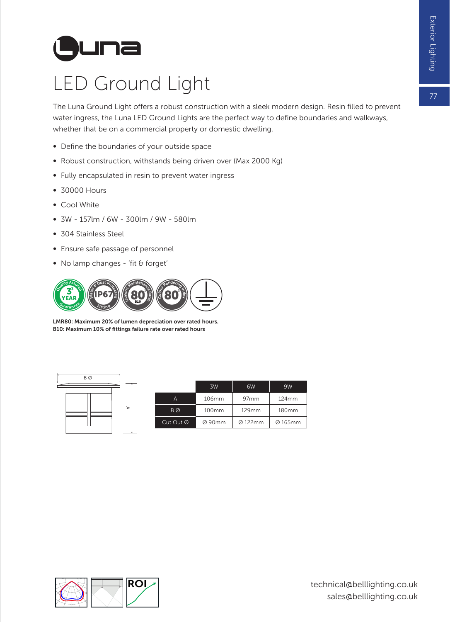# **L una**

#### LED Ground Light

The Luna Ground Light offers a robust construction with a sleek modern design. Resin filled to prevent water ingress, the Luna LED Ground Lights are the perfect way to define boundaries and walkways, whether that be on a commercial property or domestic dwelling.

- ∞ Define the boundaries of your outside space
- ∞ Robust construction, withstands being driven over (Max 2000 Kg)
- ∞ Fully encapsulated in resin to prevent water ingress
- ∞ 30000 Hours
- ∞ Cool White
- ∞ 3W 157lm / 6W 300lm / 9W 580lm
- ∞ 304 Stainless Steel
- ∞ Ensure safe passage of personnel
- ∞ No lamp changes 'fit & forget'



LMR80: Maximum 20% of lumen depreciation over rated hours. B10: Maximum 10% of fittings failure rate over rated hours



|                | 3W             | 6W                  | 9W      |  |
|----------------|----------------|---------------------|---------|--|
| А              | 106mm          | 97mm                | 124mm   |  |
| B <sub>Ø</sub> | 100mm<br>129mm |                     | 180mm   |  |
| Cut Out Ø      | Ø 90mm         | $\varnothing$ 122mm | Ø 165mm |  |

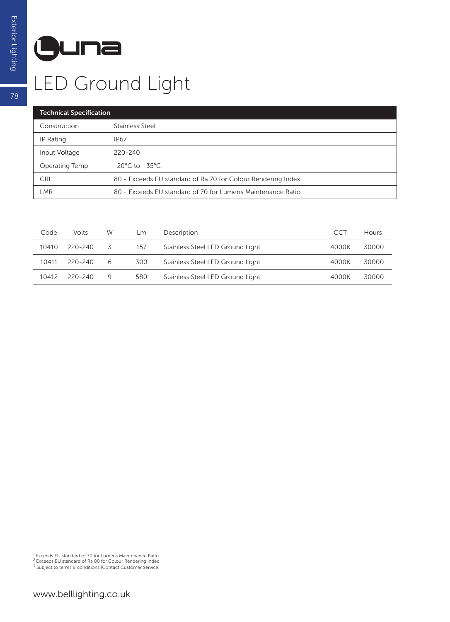## **L una**

### LED Ground Light

| <b>Technical Specification</b> |                                                              |  |  |  |  |
|--------------------------------|--------------------------------------------------------------|--|--|--|--|
| Construction                   | Stainless Steel                                              |  |  |  |  |
| IP Rating                      | <b>IP67</b>                                                  |  |  |  |  |
| Input Voltage                  | $220 - 240$                                                  |  |  |  |  |
| Operating Temp                 | $-20^{\circ}$ C to $+35^{\circ}$ C                           |  |  |  |  |
| <b>CRI</b>                     | 80 - Exceeds EU standard of Ra 70 for Colour Rendering Index |  |  |  |  |
| LMR                            | 80 - Exceeds EU standard of 70 for Lumens Maintenance Ratio  |  |  |  |  |

| Code  | <b>Volts</b> | W | Lm  | Description                      | CCT   | Hours |
|-------|--------------|---|-----|----------------------------------|-------|-------|
| 10410 | 220-240      | 5 | 157 | Stainless Steel LED Ground Light | 4000K | 30000 |
| 10411 | $220 - 240$  | 6 | 300 | Stainless Steel LED Ground Light | 4000K | 30000 |
| 10412 | $220 - 240$  | 9 | 580 | Stainless Steel LED Ground Light | 4000K | 30000 |

78

<sup>&</sup>lt;sup>1</sup> Exceeds EU standard of 70 for Lumens Maintenance Ratio<br><sup>2</sup> Exceeds EU standard of Ra 80 for Colour Rendering Index<br><sup>3</sup> Subject to terms & conditions (Contact Customer Service)